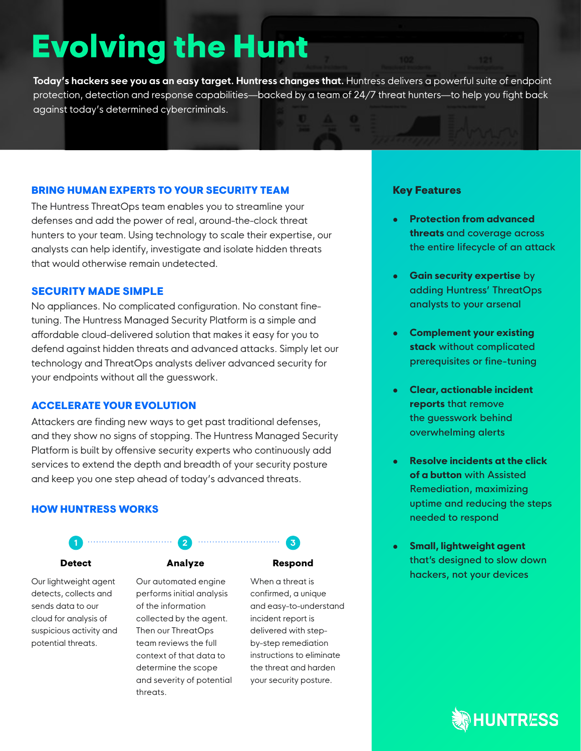# **Evolving the Hunt**

**Today's hackers see you as an easy target. Huntress changes that.** Huntress delivers a powerful suite of endpoint protection, detection and response capabilities—backed by a team of 24/7 threat hunters—to help you fight back against today's determined cybercriminals.

#### BRING HUMAN EXPERTS TO YOUR SECURITY TEAM

The Huntress ThreatOps team enables you to streamline your defenses and add the power of real, around-the-clock threat hunters to your team. Using technology to scale their expertise, our analysts can help identify, investigate and isolate hidden threats that would otherwise remain undetected.

#### SECURITY MADE SIMPLE

No appliances. No complicated configuration. No constant finetuning. The Huntress Managed Security Platform is a simple and affordable cloud-delivered solution that makes it easy for you to defend against hidden threats and advanced attacks. Simply let our technology and ThreatOps analysts deliver advanced security for your endpoints without all the guesswork.

#### ACCELERATE YOUR EVOLUTION

Attackers are finding new ways to get past traditional defenses, and they show no signs of stopping. The Huntress Managed Security Platform is built by offensive security experts who continuously add services to extend the depth and breadth of your security posture and keep you one step ahead of today's advanced threats.

#### HOW HUNTRESS WORKS

Our lightweight agent detects, collects and sends data to our cloud for analysis of suspicious activity and potential threats.

#### Detect Analyze Respond

Our automated engine performs initial analysis of the information collected by the agent. Then our ThreatOps team reviews the full context of that data to determine the scope and severity of potential threats.

When a threat is confirmed, a unique and easy-to-understand incident report is delivered with step-

**1 2 3**

by-step remediation instructions to eliminate the threat and harden your security posture.

#### Key Features

- **• Protection from advanced threats** and coverage across the entire lifecycle of an attack
- **• Gain security expertise** by adding Huntress' ThreatOps analysts to your arsenal
- **• Complement your existing stack** without complicated prerequisites or fine-tuning
- **• Clear, actionable incident reports** that remove the guesswork behind overwhelming alerts
- **• Resolve incidents at the click of a button** with Assisted Remediation, maximizing uptime and reducing the steps needed to respond
- **• Small, lightweight agent** that's designed to slow down hackers, not your devices